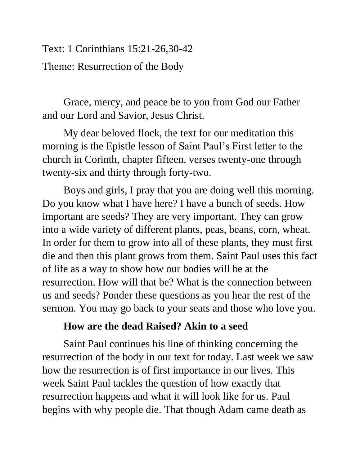Text: 1 Corinthians 15:21-26,30-42 Theme: Resurrection of the Body

Grace, mercy, and peace be to you from God our Father and our Lord and Savior, Jesus Christ.

My dear beloved flock, the text for our meditation this morning is the Epistle lesson of Saint Paul's First letter to the church in Corinth, chapter fifteen, verses twenty-one through twenty-six and thirty through forty-two.

Boys and girls, I pray that you are doing well this morning. Do you know what I have here? I have a bunch of seeds. How important are seeds? They are very important. They can grow into a wide variety of different plants, peas, beans, corn, wheat. In order for them to grow into all of these plants, they must first die and then this plant grows from them. Saint Paul uses this fact of life as a way to show how our bodies will be at the resurrection. How will that be? What is the connection between us and seeds? Ponder these questions as you hear the rest of the sermon. You may go back to your seats and those who love you.

## **How are the dead Raised? Akin to a seed**

Saint Paul continues his line of thinking concerning the resurrection of the body in our text for today. Last week we saw how the resurrection is of first importance in our lives. This week Saint Paul tackles the question of how exactly that resurrection happens and what it will look like for us. Paul begins with why people die. That though Adam came death as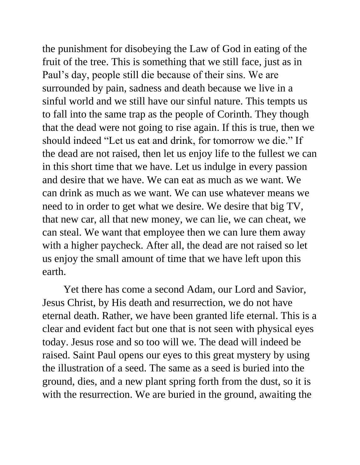the punishment for disobeying the Law of God in eating of the fruit of the tree. This is something that we still face, just as in Paul's day, people still die because of their sins. We are surrounded by pain, sadness and death because we live in a sinful world and we still have our sinful nature. This tempts us to fall into the same trap as the people of Corinth. They though that the dead were not going to rise again. If this is true, then we should indeed "Let us eat and drink, for tomorrow we die." If the dead are not raised, then let us enjoy life to the fullest we can in this short time that we have. Let us indulge in every passion and desire that we have. We can eat as much as we want. We can drink as much as we want. We can use whatever means we need to in order to get what we desire. We desire that big TV, that new car, all that new money, we can lie, we can cheat, we can steal. We want that employee then we can lure them away with a higher paycheck. After all, the dead are not raised so let us enjoy the small amount of time that we have left upon this earth.

Yet there has come a second Adam, our Lord and Savior, Jesus Christ, by His death and resurrection, we do not have eternal death. Rather, we have been granted life eternal. This is a clear and evident fact but one that is not seen with physical eyes today. Jesus rose and so too will we. The dead will indeed be raised. Saint Paul opens our eyes to this great mystery by using the illustration of a seed. The same as a seed is buried into the ground, dies, and a new plant spring forth from the dust, so it is with the resurrection. We are buried in the ground, awaiting the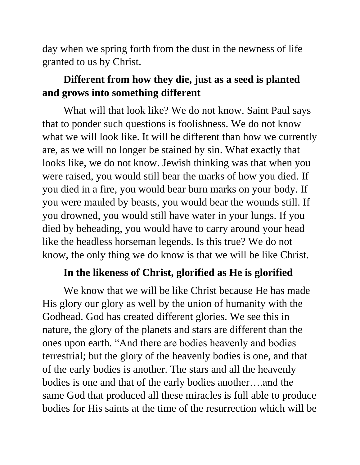day when we spring forth from the dust in the newness of life granted to us by Christ.

## **Different from how they die, just as a seed is planted and grows into something different**

What will that look like? We do not know. Saint Paul says that to ponder such questions is foolishness. We do not know what we will look like. It will be different than how we currently are, as we will no longer be stained by sin. What exactly that looks like, we do not know. Jewish thinking was that when you were raised, you would still bear the marks of how you died. If you died in a fire, you would bear burn marks on your body. If you were mauled by beasts, you would bear the wounds still. If you drowned, you would still have water in your lungs. If you died by beheading, you would have to carry around your head like the headless horseman legends. Is this true? We do not know, the only thing we do know is that we will be like Christ.

## **In the likeness of Christ, glorified as He is glorified**

We know that we will be like Christ because He has made His glory our glory as well by the union of humanity with the Godhead. God has created different glories. We see this in nature, the glory of the planets and stars are different than the ones upon earth. "And there are bodies heavenly and bodies terrestrial; but the glory of the heavenly bodies is one, and that of the early bodies is another. The stars and all the heavenly bodies is one and that of the early bodies another….and the same God that produced all these miracles is full able to produce bodies for His saints at the time of the resurrection which will be